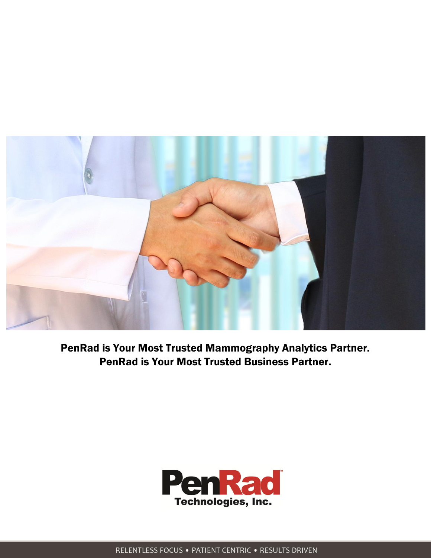

PenRad is Your Most Trusted Mammography Analytics Partner. PenRad is Your Most Trusted Business Partner.

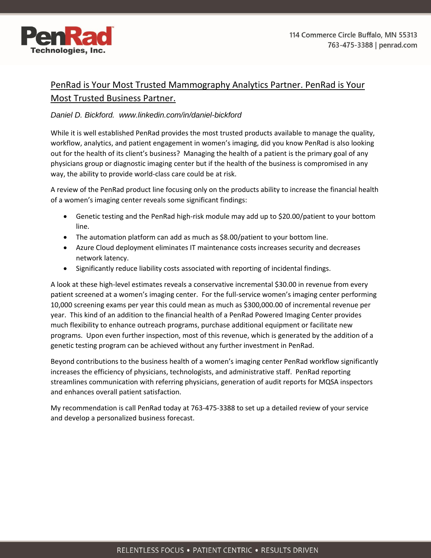

## PenRad is Your Most Trusted Mammography Analytics Partner. PenRad is Your Most Trusted Business Partner.

## *Daniel D. Bickford. www.linkedin.com/in/daniel-bickford*

While it is well established PenRad provides the most trusted products available to manage the quality, workflow, analytics, and patient engagement in women's imaging, did you know PenRad is also looking out for the health of its client's business? Managing the health of a patient is the primary goal of any physicians group or diagnostic imaging center but if the health of the business is compromised in any way, the ability to provide world-class care could be at risk.

A review of the PenRad product line focusing only on the products ability to increase the financial health of a women's imaging center reveals some significant findings:

- Genetic testing and the PenRad high-risk module may add up to \$20.00/patient to your bottom line.
- The automation platform can add as much as \$8.00/patient to your bottom line.
- Azure Cloud deployment eliminates IT maintenance costs increases security and decreases network latency.
- Significantly reduce liability costs associated with reporting of incidental findings.

A look at these high-level estimates reveals a conservative incremental \$30.00 in revenue from every patient screened at a women's imaging center. For the full-service women's imaging center performing 10,000 screening exams per year this could mean as much as \$300,000.00 of incremental revenue per year. This kind of an addition to the financial health of a PenRad Powered Imaging Center provides much flexibility to enhance outreach programs, purchase additional equipment or facilitate new programs. Upon even further inspection, most of this revenue, which is generated by the addition of a genetic testing program can be achieved without any further investment in PenRad.

Beyond contributions to the business health of a women's imaging center PenRad workflow significantly increases the efficiency of physicians, technologists, and administrative staff. PenRad reporting streamlines communication with referring physicians, generation of audit reports for MQSA inspectors and enhances overall patient satisfaction.

My recommendation is call PenRad today at 763-475-3388 to set up a detailed review of your service and develop a personalized business forecast.